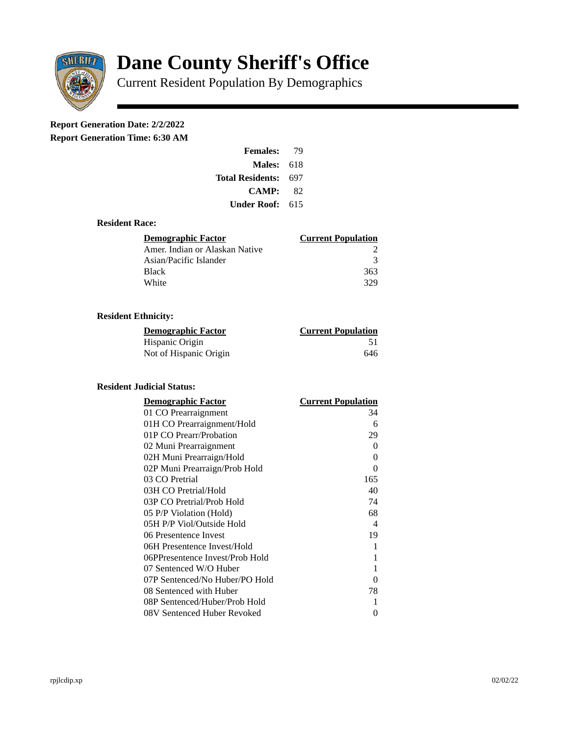

# **Dane County Sheriff's Office**

Current Resident Population By Demographics

# **Report Generation Date: 2/2/2022**

**Report Generation Time: 6:30 AM** 

| <b>Females:</b>         | 79   |
|-------------------------|------|
| Males:                  | -618 |
| <b>Total Residents:</b> | 697  |
| <b>CAMP:</b>            | 82   |
| Under Roof: \           | 615  |

### **Resident Race:**

| Demographic Factor             | <b>Current Population</b> |
|--------------------------------|---------------------------|
| Amer. Indian or Alaskan Native |                           |
| Asian/Pacific Islander         | २                         |
| <b>Black</b>                   | 363                       |
| White                          | 329                       |

# **Resident Ethnicity:**

| <u> Demographic Factor</u> | <b>Current Population</b> |
|----------------------------|---------------------------|
| Hispanic Origin            | 51                        |
| Not of Hispanic Origin     | 646                       |

#### **Resident Judicial Status:**

| <b>Demographic Factor</b>       | <b>Current Population</b>  |
|---------------------------------|----------------------------|
| 01 CO Prearraignment            | 34                         |
| 01H CO Prearraignment/Hold      | 6                          |
| 01P CO Prearr/Probation         | 29                         |
| 02 Muni Prearraignment          | 0                          |
| 02H Muni Prearraign/Hold        | 0                          |
| 02P Muni Prearraign/Prob Hold   | 0                          |
| 03 CO Pretrial                  | 165                        |
| 03H CO Pretrial/Hold            | 40                         |
| 03P CO Pretrial/Prob Hold       | 74                         |
| 05 P/P Violation (Hold)         | 68                         |
| 05H P/P Viol/Outside Hold       | $\boldsymbol{\mathcal{A}}$ |
| 06 Presentence Invest           | 19                         |
| 06H Presentence Invest/Hold     | 1                          |
| 06PPresentence Invest/Prob Hold | 1                          |
| 07 Sentenced W/O Huber          | 1                          |
| 07P Sentenced/No Huber/PO Hold  | 0                          |
| 08 Sentenced with Huber         | 78                         |
| 08P Sentenced/Huber/Prob Hold   | 1                          |
| 08V Sentenced Huber Revoked     | 0                          |